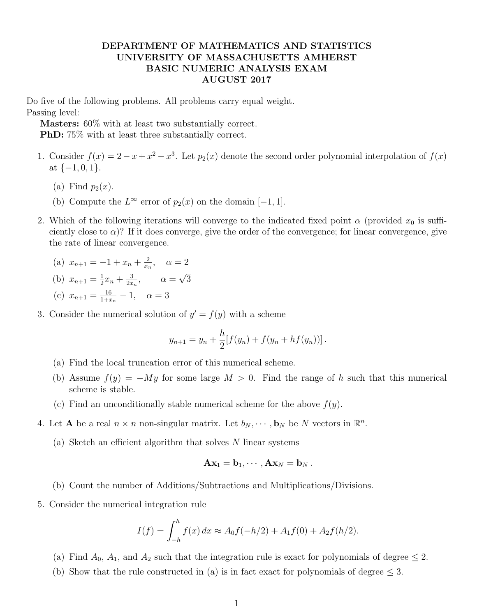## DEPARTMENT OF MATHEMATICS AND STATISTICS UNIVERSITY OF MASSACHUSETTS AMHERST BASIC NUMERIC ANALYSIS EXAM AUGUST 2017

Do five of the following problems. All problems carry equal weight. Passing level:

Masters: 60% with at least two substantially correct.

PhD: 75% with at least three substantially correct.

- 1. Consider  $f(x) = 2 x + x^2 x^3$ . Let  $p_2(x)$  denote the second order polynomial interpolation of  $f(x)$ at  $\{-1, 0, 1\}.$ 
	- (a) Find  $p_2(x)$ .
	- (b) Compute the  $L^{\infty}$  error of  $p_2(x)$  on the domain  $[-1, 1]$ .
- 2. Which of the following iterations will converge to the indicated fixed point  $\alpha$  (provided  $x_0$  is sufficiently close to  $\alpha$ )? If it does converge, give the order of the convergence; for linear convergence, give the rate of linear convergence.

(a) 
$$
x_{n+1} = -1 + x_n + \frac{2}{x_n}
$$
,  $\alpha = 2$   
\n(b)  $x_{n+1} = \frac{1}{2}x_n + \frac{3}{2x_n}$ ,  $\alpha = \sqrt{3}$ 

(c) 
$$
x_{n+1} = \frac{16}{1+x_n} - 1, \quad \alpha = 3
$$

3. Consider the numerical solution of  $y' = f(y)$  with a scheme

$$
y_{n+1} = y_n + \frac{h}{2} [f(y_n) + f(y_n + h f(y_n))].
$$

- (a) Find the local truncation error of this numerical scheme.
- (b) Assume  $f(y) = -My$  for some large  $M > 0$ . Find the range of h such that this numerical scheme is stable.
- (c) Find an unconditionally stable numerical scheme for the above  $f(y)$ .
- 4. Let **A** be a real  $n \times n$  non-singular matrix. Let  $b_N, \dots, b_N$  be N vectors in  $\mathbb{R}^n$ .
	- (a) Sketch an efficient algorithm that solves  $N$  linear systems

$$
\mathbf{A}\mathbf{x}_1=\mathbf{b}_1,\cdots,\mathbf{A}\mathbf{x}_N=\mathbf{b}_N.
$$

- (b) Count the number of Additions/Subtractions and Multiplications/Divisions.
- 5. Consider the numerical integration rule

$$
I(f) = \int_{-h}^{h} f(x) dx \approx A_0 f(-h/2) + A_1 f(0) + A_2 f(h/2).
$$

- (a) Find  $A_0$ ,  $A_1$ , and  $A_2$  such that the integration rule is exact for polynomials of degree  $\leq 2$ .
- (b) Show that the rule constructed in (a) is in fact exact for polynomials of degree  $\leq 3$ .